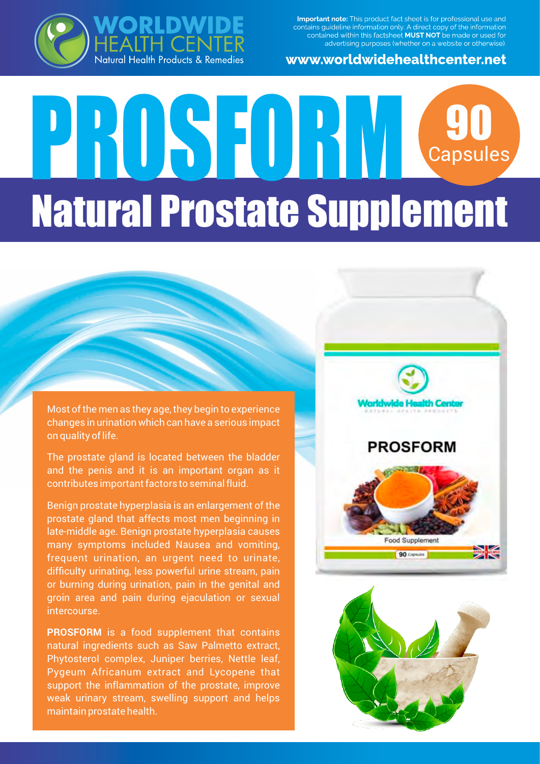Important note: This product fact sheet is for professional use and contains guideline information only. A direct copy of the information<br>contained within this factsheet **MUST NOT** be made or used for advertising purposes (whether on a website or otherwise).



## RLDW HEALTH CENTER<br>Natural Health Products & Remedies

# PROSEDRUG 90 Capsules Natural Prostate Supplement

Most of the men as they age, they begin to experience changes in urination which can have a serious impact on quality of life.

The prostate gland is located between the bladder and the penis and it is an important organ as it contributes important factors to seminal fluid.

Benign prostate hyperplasia is an enlargement of the prostate gland that affects most men beginning in late-middle age. Benign prostate hyperplasia causes many symptoms included Nausea and vomiting, frequent urination, an urgent need to urinate, difficulty urinating, less powerful urine stream, pain or burning during urination, pain in the genital and groin area and pain during ejaculation or sexual intercourse.

**PROSFORM** is a food supplement that contains natural ingredients such as Saw Palmetto extract, Phytosterol complex, Juniper berries, Nettle leaf, Pygeum Africanum extract and Lycopene that support the inflammation of the prostate, improve weak urinary stream, swelling support and helps maintain prostate health.



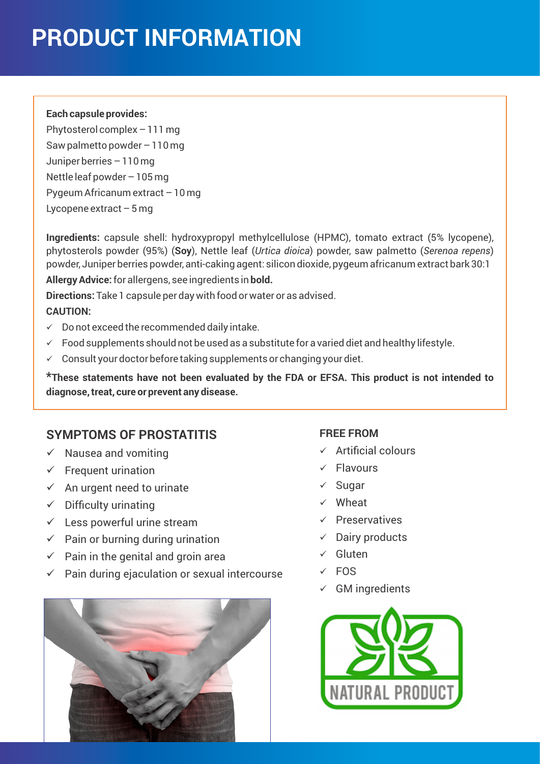## **PRODUCT INFORMATION**

#### **Each capsule provides:**

Phytosterol complex – 111 mg Saw palmetto powder – 110 mg Juniper berries – 110 mg Nettle leaf powder – 105 mg Pygeum Africanum extract – 10 mg Lycopene extract  $-5$  mg

**Ingredients:** capsule shell: hydroxypropyl methylcellulose (HPMC), tomato extract (5% lycopene), phytosterols powder (95%) (**Soy**), Nettle leaf (*Urtica dioica*) powder, saw palmetto (*Serenoa repens*) powder, Juniper berries powder, anti-caking agent: silicon dioxide, pygeum africanum extract bark 30:1 **Allergy Advice:** for allergens, see ingredients in **bold.**

**Directions:** Take 1 capsule per day with food or water or as advised.

#### **CAUTION:**

- $\checkmark$  Do not exceed the recommended daily intake.
- $\checkmark$  Food supplements should not be used as a substitute for a varied diet and healthy lifestyle.
- $\checkmark$  Consult your doctor before taking supplements or changing your diet.

**\*These statements have not been evaluated by the FDA or EFSA. This product is not intended to diagnose, treat, cure or prevent any disease.**

### **SYMPTOMS OF PROSTATITIS**

- $\checkmark$  Nausea and vomiting
- $\checkmark$  Frequent urination
- $\checkmark$  An urgent need to urinate
- $\checkmark$  Difficulty urinating
- $\checkmark$  Less powerful urine stream
- $\checkmark$  Pain or burning during urination
- $\checkmark$  Pain in the genital and groin area
- $\checkmark$  Pain during ejaculation or sexual intercourse



#### **FREE FROM**

- $\checkmark$  Artificial colours
- $\checkmark$  Flavours
- $\checkmark$  Sugar
- $\checkmark$  Wheat
- $\checkmark$  Preservatives
- $\checkmark$  Dairy products
- $\checkmark$  Gluten
- $\times$  FOS
- $\checkmark$  GM ingredients